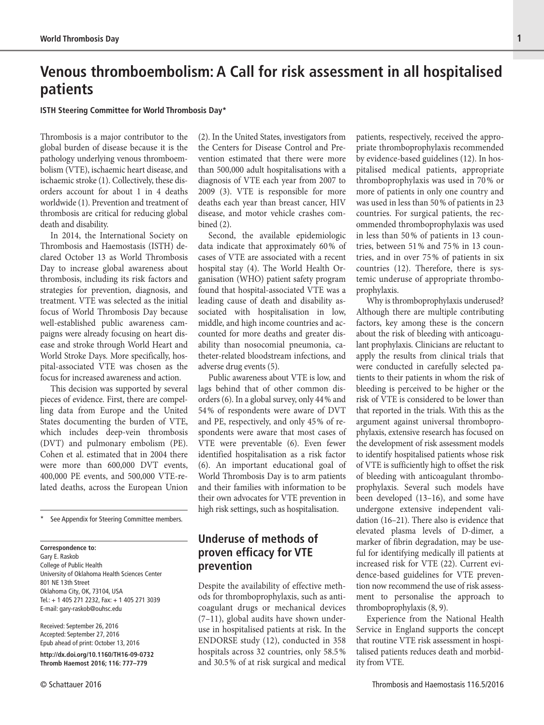# **Venous thromboembolism: A Call for risk assessment in all hospitalised patients**

#### **ISTH Steering Committee for World Thrombosis Day\***

Thrombosis is a major contributor to the global burden of disease because it is the pathology underlying venous thromboembolism (VTE), ischaemic heart disease, and ischaemic stroke (1). Collectively, these disorders account for about 1 in 4 deaths worldwide (1). Prevention and treatment of thrombosis are critical for reducing global death and disability.

In 2014, the International Society on Thrombosis and Haemostasis (ISTH) declared October 13 as World Thrombosis Day to increase global awareness about thrombosis, including its risk factors and strategies for prevention, diagnosis, and treatment. VTE was selected as the initial focus of World Thrombosis Day because well-established public awareness campaigns were already focusing on heart disease and stroke through World Heart and World Stroke Days. More specifically, hospital-associated VTE was chosen as the focus for increased awareness and action.

This decision was supported by several pieces of evidence. First, there are compelling data from Europe and the United States documenting the burden of VTE, which includes deep-vein thrombosis (DVT) and pulmonary embolism (PE). Cohen et al. estimated that in 2004 there were more than 600,000 DVT events, 400,000 PE events, and 500,000 VTE-related deaths, across the European Union

See Appendix for Steering Committee members.

#### **Correspondence to:**

Gary E. Raskob College of Public Health University of Oklahoma Health Sciences Center 801 NE 13th Street Oklahoma City, OK, 73104, USA Tel.: + 1 405 271 2232, Fax: + 1 405 271 3039 E-mail: [gary-raskob@ouhsc.edu](mailto:gary-raskob@ouhsc.edu)

Received: September 26, 2016 Accepted: September 27, 2016 Epub ahead of print: October 13, 2016

**<http://dx.doi.org/10.1160/TH16-09-0732> Thromb Haemost 2016; 116: 777–779**

(2). In the United States, investigators from the Centers for Disease Control and Prevention estimated that there were more than 500,000 adult hospitalisations with a diagnosis of VTE each year from 2007 to 2009 (3). VTE is responsible for more deaths each year than breast cancer, HIV disease, and motor vehicle crashes combined (2).

Second, the available epidemiologic data indicate that approximately 60 % of cases of VTE are associated with a recent hospital stay (4). The World Health Organisation (WHO) patient safety program found that hospital-associated VTE was a leading cause of death and disability associated with hospitalisation in low, middle, and high income countries and accounted for more deaths and greater disability than nosocomial pneumonia, catheter-related bloodstream infections, and adverse drug events (5).

Public awareness about VTE is low, and lags behind that of other common disorders (6). In a global survey, only 44 % and 54 % of respondents were aware of DVT and PE, respectively, and only 45 % of respondents were aware that most cases of VTE were preventable (6). Even fewer identified hospitalisation as a risk factor (6). An important educational goal of World Thrombosis Day is to arm patients and their families with information to be their own advocates for VTE prevention in high risk settings, such as hospitalisation.

## **Underuse of methods of proven efficacy for VTE prevention**

Despite the availability of effective methods for thromboprophylaxis, such as anticoagulant drugs or mechanical devices (7–11), global audits have shown underuse in hospitalised patients at risk. In the ENDORSE study (12), conducted in 358 hospitals across 32 countries, only 58.5 % and 30.5 % of at risk surgical and medical

patients, respectively, received the appropriate thromboprophylaxis recommended by evidence-based guidelines (12). In hospitalised medical patients, appropriate thromboprophylaxis was used in 70 % or more of patients in only one country and was used in less than 50 % of patients in 23 countries. For surgical patients, the recommended thromboprophylaxis was used in less than 50 % of patients in 13 countries, between 51 % and 75 % in 13 countries, and in over 75 % of patients in six countries (12). Therefore, there is systemic underuse of appropriate thromboprophylaxis.

Why is thromboprophylaxis underused? Although there are multiple contributing factors, key among these is the concern about the risk of bleeding with anticoagulant prophylaxis. Clinicians are reluctant to apply the results from clinical trials that were conducted in carefully selected patients to their patients in whom the risk of bleeding is perceived to be higher or the risk of VTE is considered to be lower than that reported in the trials. With this as the argument against universal thromboprophylaxis, extensive research has focused on the development of risk assessment models to identify hospitalised patients whose risk of VTE is sufficiently high to offset the risk of bleeding with anticoagulant thromboprophylaxis. Several such models have been developed (13–16), and some have undergone extensive independent validation (16–21). There also is evidence that elevated plasma levels of D-dimer, a marker of fibrin degradation, may be useful for identifying medically ill patients at increased risk for VTE (22). Current evidence-based guidelines for VTE prevention now recommend the use of risk assessment to personalise the approach to thromboprophylaxis (8, 9).

Experience from the National Health Service in England supports the concept that routine VTE risk assessment in hospitalised patients reduces death and morbidity from VTE.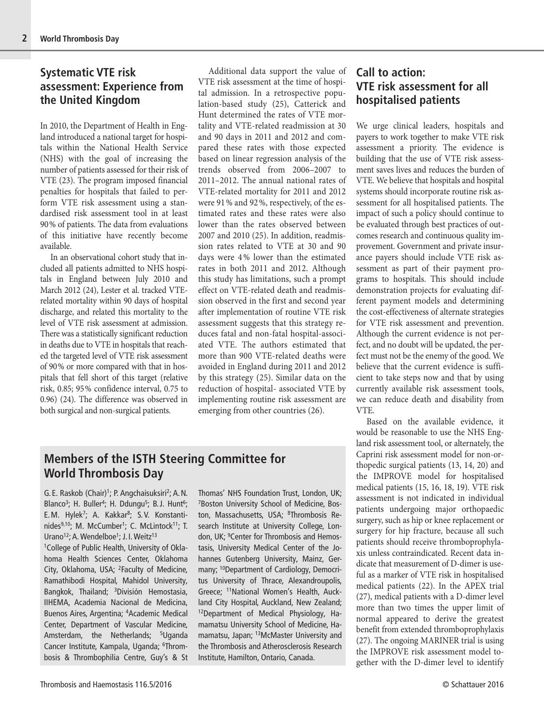### **Systematic VTE risk assessment: Experience from the United Kingdom**

In 2010, the Department of Health in England introduced a national target for hospitals within the National Health Service (NHS) with the goal of increasing the number of patients assessed for their risk of VTE (23). The program imposed financial penalties for hospitals that failed to perform VTE risk assessment using a standardised risk assessment tool in at least 90 % of patients. The data from evaluations of this initiative have recently become available.

In an observational cohort study that included all patients admitted to NHS hospitals in England between July 2010 and March 2012 (24), Lester et al. tracked VTErelated mortality within 90 days of hospital discharge, and related this mortality to the level of VTE risk assessment at admission. There was a statistically significant reduction in deaths due to VTE in hospitals that reached the targeted level of VTE risk assessment of 90 % or more compared with that in hospitals that fell short of this target (relative risk, 0.85; 95 % confidence interval, 0.75 to 0.96) (24). The difference was observed in both surgical and non-surgical patients.

Additional data support the value of VTE risk assessment at the time of hospital admission. In a retrospective population-based study (25), Catterick and Hunt determined the rates of VTE mortality and VTE-related readmission at 30 and 90 days in 2011 and 2012 and compared these rates with those expected based on linear regression analysis of the trends observed from 2006–2007 to 2011–2012. The annual national rates of VTE-related mortality for 2011 and 2012 were 91 % and 92 %, respectively, of the estimated rates and these rates were also lower than the rates observed between 2007 and 2010 (25). In addition, readmission rates related to VTE at 30 and 90 days were 4 % lower than the estimated rates in both 2011 and 2012. Although this study has limitations, such a prompt effect on VTE-related death and readmission observed in the first and second year after implementation of routine VTE risk assessment suggests that this strategy reduces fatal and non-fatal hospital-associated VTE. The authors estimated that more than 900 VTE-related deaths were avoided in England during 2011 and 2012 by this strategy (25). Similar data on the reduction of hospital- associated VTE by implementing routine risk assessment are emerging from other countries (26).

## **Members of the ISTH Steering Committee for World Thrombosis Day**

G. E. Raskob (Chair)<sup>1</sup>; P. Angchaisuksiri<sup>2</sup>; A. N. Blanco<sup>3</sup>; H. Buller<sup>4</sup>; H. Ddungu<sup>5</sup>; B.J. Hunt<sup>6</sup>; E.M. Hylek<sup>7</sup>; A. Kakkar<sup>8</sup>; S.V. Konstantinides<sup>9,10</sup>; M. McCumber<sup>1</sup>; C. McLintock<sup>11</sup>; T. Urano<sup>12</sup>; A. Wendelboe<sup>1</sup>; J. I. Weitz<sup>13</sup>

1 College of Public Health, University of Oklahoma Health Sciences Center, Oklahoma City, Oklahoma, USA; <sup>2</sup>Faculty of Medicine, Ramathibodi Hospital, Mahidol University, Bangkok, Thailand; <sup>3</sup>División Hemostasia, IIHEMA, Academia Nacional de Medicina, Buenos Aires, Argentina; 4 Academic Medical Center, Department of Vascular Medicine, Amsterdam, the Netherlands; <sup>5</sup>Uganda Cancer Institute, Kampala, Uganda; <sup>6</sup>Thrombosis & Thrombophilia Centre, Guy's & St

Thomas' NHS Foundation Trust, London, UK; 7 Boston University School of Medicine, Boston, Massachusetts, USA; <sup>8</sup>Thrombosis Research Institute at University College, London, UK; 9 Center for Thrombosis and Hemostasis, University Medical Center of the Johannes Gutenberg University, Mainz, Germany; <sup>10</sup>Department of Cardiology, Democritus University of Thrace, Alexandroupolis, Greece; 11National Women's Health, Auckland City Hospital, Auckland, New Zealand; 12Department of Medical Physiology, Hamamatsu University School of Medicine, Hamamatsu, Japan; 13McMaster University and the Thrombosis and Atherosclerosis Research Institute, Hamilton, Ontario, Canada.

## **Call to action: VTE risk assessment for all hospitalised patients**

We urge clinical leaders, hospitals and payers to work together to make VTE risk assessment a priority. The evidence is building that the use of VTE risk assessment saves lives and reduces the burden of VTE. We believe that hospitals and hospital systems should incorporate routine risk assessment for all hospitalised patients. The impact of such a policy should continue to be evaluated through best practices of outcomes research and continuous quality improvement. Government and private insurance payers should include VTE risk assessment as part of their payment programs to hospitals. This should include demonstration projects for evaluating different payment models and determining the cost-effectiveness of alternate strategies for VTE risk assessment and prevention. Although the current evidence is not perfect, and no doubt will be updated, the perfect must not be the enemy of the good. We believe that the current evidence is sufficient to take steps now and that by using currently available risk assessment tools, we can reduce death and disability from VTE.

Based on the available evidence, it would be reasonable to use the NHS England risk assessment tool, or alternately, the Caprini risk assessment model for non-orthopedic surgical patients (13, 14, 20) and the IMPROVE model for hospitalised medical patients (15, 16, 18, 19). VTE risk assessment is not indicated in individual patients undergoing major orthopaedic surgery, such as hip or knee replacement or surgery for hip fracture, because all such patients should receive thromboprophylaxis unless contraindicated. Recent data indicate that measurement of D-dimer is useful as a marker of VTE risk in hospitalised medical patients (22). In the APEX trial (27), medical patients with a D-dimer level more than two times the upper limit of normal appeared to derive the greatest benefit from extended thromboprophylaxis (27). The ongoing MARINER trial is using the IMPROVE risk assessment model together with the D-dimer level to identify